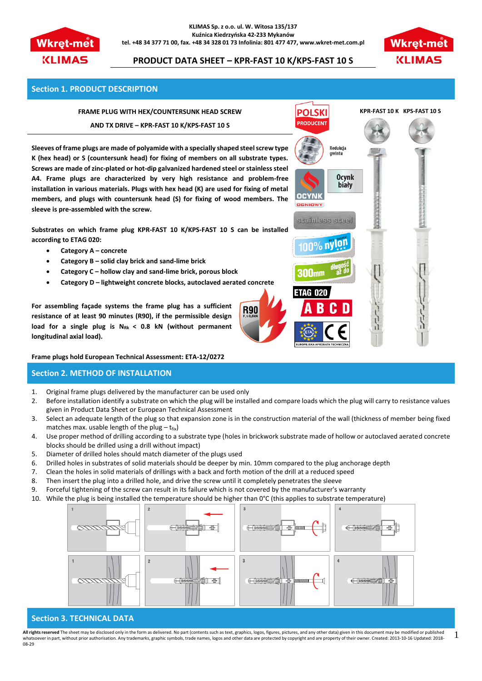

#### **KLIMAS Sp. z o.o. ul. W. Witosa 135/137 Kuźnica Kiedrzyńska 42-233 Mykanów tel. +48 34 377 71 00, fax. +48 34 328 01 73 Infolinia: 801 477 477, www.wkret-met.com.pl**



# **PRODUCT DATA SHEET – KPR-FAST 10 K/KPS-FAST 10 S**

## **Section 1. PRODUCT DESCRIPTION**

# **FRAME PLUG WITH HEX/COUNTERSUNK HEAD SCREW**

### **AND TX DRIVE – KPR-FAST 10 K/KPS-FAST 10 S**

**Sleeves of frame plugs are made of polyamide with a specially shaped steel screw type K (hex head) or S (countersunk head) for fixing of members on all substrate types. Screws are made of zinc-plated or hot-dip galvanized hardened steel or stainless steel A4. Frame plugs are characterized by very high resistance and problem-free installation in various materials. Plugs with hex head (K) are used for fixing of metal members, and plugs with countersunk head (S) for fixing of wood members. The sleeve is pre-assembled with the screw.** 

**Substrates on which frame plug KPR-FAST 10 K/KPS-FAST 10 S can be installed according to ETAG 020:** 

- **Category A – concrete**
- **Category B – solid clay brick and sand-lime brick**
- **Category C – hollow clay and sand-lime brick, porous block**
- **Category D – lightweight concrete blocks, autoclaved aerated concrete**

**For assembling façade systems the frame plug has a sufficient resistance of at least 90 minutes (R90), if the permissible design load for a single plug is NRk < 0.8 kN (without permanent longitudinal axial load).**

**Frame plugs hold European Technical Assessment: ETA-12/0272**

## **Section 2. METHOD OF INSTALLATION**

- 1. Original frame plugs delivered by the manufacturer can be used only
- 2. Before installation identify a substrate on which the plug will be installed and compare loads which the plug will carry to resistance values given in Product Data Sheet or European Technical Assessment

**R90** 

- 3. Select an adequate length of the plug so that expansion zone is in the construction material of the wall (thickness of member being fixed matches max. usable length of the plug  $-t_{fix}$ )
- 4. Use proper method of drilling according to a substrate type (holes in brickwork substrate made of hollow or autoclaved aerated concrete blocks should be drilled using a drill without impact)
- 5. Diameter of drilled holes should match diameter of the plugs used
- 6. Drilled holes in substrates of solid materials should be deeper by min. 10mm compared to the plug anchorage depth
- 7. Clean the holes in solid materials of drillings with a back and forth motion of the drill at a reduced speed
- 8. Then insert the plug into a drilled hole, and drive the screw until it completely penetrates the sleeve
- 9. Forceful tightening of the screw can result in its failure which is not covered by the manufacturer's warranty
- 10. While the plug is being installed the temperature should be higher than 0°C (this applies to substrate temperature)



### **Section 3. TECHNICAL DATA**

All rights reserved The sheet may be disclosed only in the form as delivered. No part (contents such as text, graphics, logos, figures, pictures, and any other data) given in this document may be modified or published whatsoever in part, without prior authorisation. Any trademarks, graphic symbols, trade names, logos and other data are protected by copyright and are property of their owner. Created: 2013-10-16 Updated: 2018-08-29 1

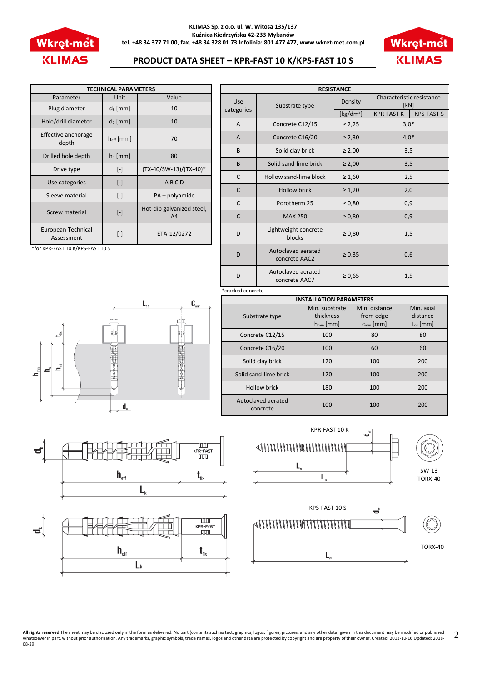

#### **KLIMAS Sp. z o.o. ul. W. Witosa 135/137 Kuźnica Kiedrzyńska 42-233 Mykanów tel. +48 34 377 71 00, fax. +48 34 328 01 73 Infolinia: 801 477 477, www.wkret-met.com.pl**



# **PRODUCT DATA SHEET – KPR-FAST 10 K/KPS-FAST 10 S**

| <b>TECHNICAL PARAMETERS</b>      |                       |                                             |  |  |  |
|----------------------------------|-----------------------|---------------------------------------------|--|--|--|
| Parameter                        | Unit                  | Value                                       |  |  |  |
| Plug diameter                    | $d_k$ [mm]            | 10                                          |  |  |  |
| Hole/drill diameter              | $d_0$ [mm]            | 10                                          |  |  |  |
| Effective anchorage<br>depth     | $h_{\text{eff}}$ [mm] | 70                                          |  |  |  |
| Drilled hole depth               | $h_0$ [mm]            | 80                                          |  |  |  |
| Drive type                       | $\lceil - \rceil$     | (TX-40/SW-13)/(TX-40)*                      |  |  |  |
| Use categories                   | $[\cdot]$             | ABCD                                        |  |  |  |
| Sleeve material                  | $\lceil - \rceil$     | PA – polyamide                              |  |  |  |
| Screw material                   | $\lceil - \rceil$     | Hot-dip galvanized steel,<br>A <sub>4</sub> |  |  |  |
| European Technical<br>Assessment | $\lceil - \rceil$     | ETA-12/0272                                 |  |  |  |

\*for KPR-FAST 10 K/KPS-FAST 10 S



| <b>RESISTANCE</b> |                                     |              |                                   |                   |  |  |  |
|-------------------|-------------------------------------|--------------|-----------------------------------|-------------------|--|--|--|
| Use<br>categories | Substrate type                      | Density      | Characteristic resistance<br>[kN] |                   |  |  |  |
|                   |                                     | [ $kg/dm3$ ] | <b>KPR-FAST K</b>                 | <b>KPS-FAST S</b> |  |  |  |
| $\mathsf{A}$      | Concrete C12/15                     | $\geq 2,25$  | $3,0*$                            |                   |  |  |  |
| A                 | Concrete C16/20                     | $\geq 2,30$  | $4.0*$                            |                   |  |  |  |
| B                 | Solid clay brick                    | $\geq 2,00$  | 3,5                               |                   |  |  |  |
| B                 | Solid sand-lime brick               | $\geq 2,00$  | 3,5                               |                   |  |  |  |
| C                 | Hollow sand-lime block              | $\geq 1,60$  | 2,5                               |                   |  |  |  |
| C                 | <b>Hollow brick</b>                 | $\geq 1,20$  | 2,0                               |                   |  |  |  |
| C                 | Porotherm 25                        | $\ge 0.80$   | 0,9                               |                   |  |  |  |
| $\mathsf{C}$      | <b>MAX 250</b>                      | $\geq 0,80$  | 0,9                               |                   |  |  |  |
| D                 | Lightweight concrete<br>blocks      | $\geq 0,80$  | 1,5                               |                   |  |  |  |
| D                 | Autoclaved aerated<br>concrete AAC2 | $\ge 0,35$   | 0,6                               |                   |  |  |  |
| D                 | Autoclaved aerated<br>concrete AAC7 | $\ge 0,65$   | 1,5                               |                   |  |  |  |

\*cracked concrete

| <b>INSTALLATION PARAMETERS</b> |                |                |               |  |  |  |
|--------------------------------|----------------|----------------|---------------|--|--|--|
|                                | Min. substrate | Min. distance  | Min. axial    |  |  |  |
| Substrate type                 | thickness      | from edge      | distance      |  |  |  |
|                                | $h_{min}$ [mm] | $c_{min}$ [mm] | $L_{os}$ [mm] |  |  |  |
| Concrete C12/15                | 100            | 80             | 80            |  |  |  |
| Concrete C16/20                | 100            | 60             | 60            |  |  |  |
| Solid clay brick               | 120            | 100            | 200           |  |  |  |
| Solid sand-lime brick          | 120            | 100            | 200           |  |  |  |
| <b>Hollow brick</b>            | 180            | 100            | 200           |  |  |  |
| Autoclaved aerated<br>concrete | 100            | 100            | 200           |  |  |  |









**All rights reserved** The sheet may be disclosed only in the form as delivered. No part (contents such as text, graphics, logos, figures, pictures, and any other data) given in this document may be modified or published<br>wh 08-29 2